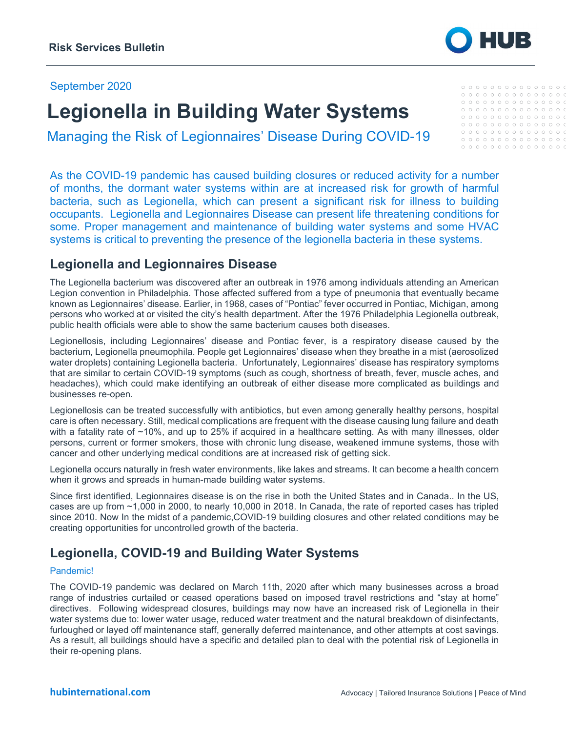### September 2020

# **Legionella in Building Water Systems**

Managing the Risk of Legionnaires' Disease During COVID-19

As the COVID-19 pandemic has caused building closures or reduced activity for a number of months, the dormant water systems within are at increased risk for growth of harmful bacteria, such as Legionella, which can present a significant risk for illness to building occupants. Legionella and Legionnaires Disease can present life threatening conditions for some. Proper management and maintenance of building water systems and some HVAC systems is critical to preventing the presence of the legionella bacteria in these systems.

## **Legionella and Legionnaires Disease**

The Legionella bacterium was discovered after an outbreak in 1976 among individuals attending an American Legion convention in Philadelphia. Those affected suffered from a type of pneumonia that eventually became known as Legionnaires' disease. Earlier, in 1968, cases of "Pontiac" fever occurred in Pontiac, Michigan, among persons who worked at or visited the city's health department. After the 1976 Philadelphia Legionella outbreak, public health officials were able to show the same bacterium causes both diseases.

Legionellosis, including Legionnaires' disease and Pontiac fever, is a respiratory disease caused by the bacterium, Legionella pneumophila. People get Legionnaires' disease when they breathe in a mist (aerosolized water droplets) containing Legionella bacteria. Unfortunately, Legionnaires' disease has respiratory symptoms that are similar to certain COVID-19 symptoms (such as cough, shortness of breath, fever, muscle aches, and headaches), which could make identifying an outbreak of either disease more complicated as buildings and businesses re-open.

Legionellosis can be treated successfully with antibiotics, but even among generally healthy persons, hospital care is often necessary. Still, medical complications are frequent with the disease causing lung failure and death with a fatality rate of ~10%, and up to 25% if acquired in a healthcare setting. As with many illnesses, older persons, current or former smokers, those with chronic lung disease, weakened immune systems, those with cancer and other underlying medical conditions are at increased risk of getting sick.

Legionella occurs naturally in fresh water environments, like lakes and streams. It can become a health concern when it grows and spreads in human-made building water systems.

Since first identified, Legionnaires disease is on the rise in both the United States and in Canada.. In the US, cases are up from ~1,000 in 2000, to nearly 10,000 in 2018. In Canada, the rate of reported cases has tripled since 2010. Now In the midst of a pandemic,COVID-19 building closures and other related conditions may be creating opportunities for uncontrolled growth of the bacteria.

## **Legionella, COVID-19 and Building Water Systems**

#### Pandemic!

The COVID-19 pandemic was declared on March 11th, 2020 after which many businesses across a broad range of industries curtailed or ceased operations based on imposed travel restrictions and "stay at home" directives. Following widespread closures, buildings may now have an increased risk of Legionella in their water systems due to: lower water usage, reduced water treatment and the natural breakdown of disinfectants, furloughed or layed off maintenance staff, generally deferred maintenance, and other attempts at cost savings. As a result, all buildings should have a specific and detailed plan to deal with the potential risk of Legionella in their re-opening plans.



#### ${\color{blue}\circ\circ\circ\circ\circ\circ\circ\circ\circ\circ\circ\circ\circ\circ\;$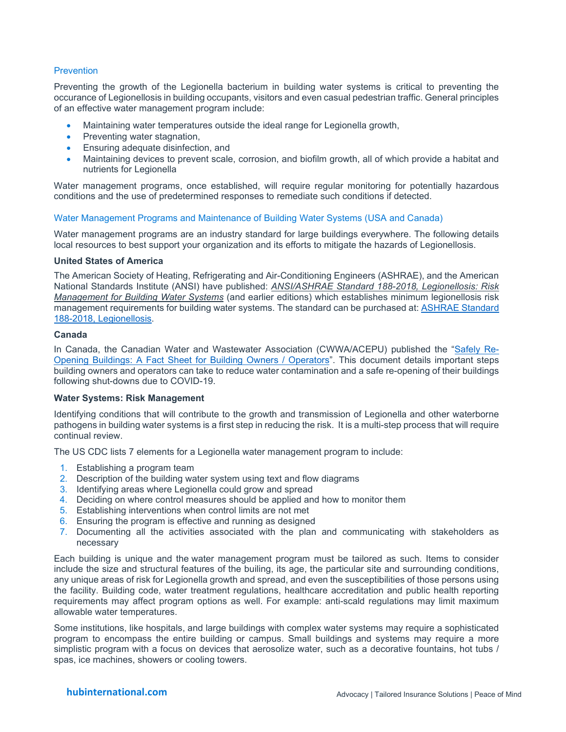### **Prevention**

Preventing the growth of the Legionella bacterium in building water systems is critical to preventing the occurance of Legionellosis in building occupants, visitors and even casual pedestrian traffic. General principles of an effective water management program include:

- Maintaining water temperatures outside the ideal range for Legionella growth,
- Preventing water stagnation,
- Ensuring adequate disinfection, and
- Maintaining devices to prevent scale, corrosion, and biofilm growth, all of which provide a habitat and nutrients for Legionella

Water management programs, once established, will require regular monitoring for potentially hazardous conditions and the use of predetermined responses to remediate such conditions if detected.

#### Water Management Programs and Maintenance of Building Water Systems (USA and Canada)

Water management programs are an industry standard for large buildings everywhere. The following details local resources to best support your organization and its efforts to mitigate the hazards of Legionellosis.

#### **United States of America**

The American Society of Heating, Refrigerating and Air-Conditioning Engineers (ASHRAE), and the American National Standards Institute (ANSI) have published: *ANSI/ASHRAE Standard 188-2018, Legionellosis: Risk Management for Building Water Systems* (and earlier editions) which establishes minimum legionellosis risk management requirements for building water systems. The standard can be purchased at: [ASHRAE Standard](https://www.ashrae.org/technical-resources/bookstore/ansi-ashrae-standard-188-2018-legionellosis-risk-management-for-building-water-systems)  [188-2018, Legionellosis.](https://www.ashrae.org/technical-resources/bookstore/ansi-ashrae-standard-188-2018-legionellosis-risk-management-for-building-water-systems)

#### **Canada**

In Canada, the Canadian Water and Wastewater Association (CWWA/ACEPU) published the ["Safely Re-](https://cwwa.ca/wp-content/uploads/2020/05/Re-Opening-Buildings-FACT-SHEET_FINAL-amend1.pdf)[Opening Buildings: A Fact Sheet for Building Owners / Operators"](https://cwwa.ca/wp-content/uploads/2020/05/Re-Opening-Buildings-FACT-SHEET_FINAL-amend1.pdf). This document details important steps building owners and operators can take to reduce water contamination and a safe re-opening of their buildings following shut-downs due to COVID-19.

#### **Water Systems: Risk Management**

Identifying conditions that will contribute to the growth and transmission of Legionella and other waterborne pathogens in building water systems is a first step in reducing the risk. It is a multi-step process that will require continual review.

The US CDC lists 7 elements for a Legionella water management program to include:

- 1. Establishing a program team
- 2. Description of the building water system using text and flow diagrams
- 3. Identifying areas where Legionella could grow and spread
- 4. Deciding on where control measures should be applied and how to monitor them
- 5. Establishing interventions when control limits are not met
- 6. Ensuring the program is effective and running as designed
- 7. Documenting all the activities associated with the plan and communicating with stakeholders as necessary

Each building is unique and the water management program must be tailored as such. Items to consider include the size and structural features of the builing, its age, the particular site and surrounding conditions, any unique areas of risk for Legionella growth and spread, and even the susceptibilities of those persons using the facility. Building code, water treatment regulations, healthcare accreditation and public health reporting requirements may affect program options as well. For example: anti-scald regulations may limit maximum allowable water temperatures.

Some institutions, like hospitals, and large buildings with complex water systems may require a sophisticated program to encompass the entire building or campus. Small buildings and systems may require a more simplistic program with a focus on devices that aerosolize water, such as a decorative fountains, hot tubs / spas, ice machines, showers or cooling towers.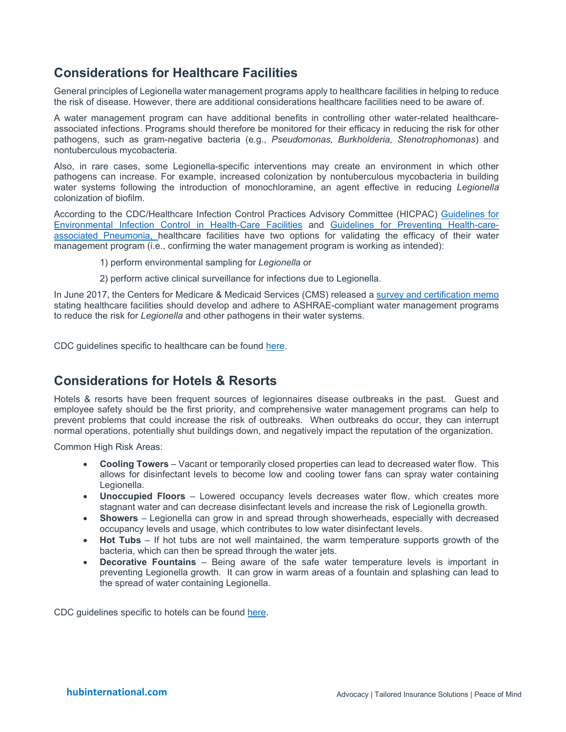## **Considerations for Healthcare Facilities**

General principles of Legionella water management programs apply to healthcare facilities in helping to reduce the risk of disease. However, there are additional considerations healthcare facilities need to be aware of.

A water management program can have additional benefits in controlling other water-related healthcareassociated infections. Programs should therefore be monitored for their efficacy in reducing the risk for other pathogens, such as gram-negative bacteria (e.g., *Pseudomonas, Burkholderia, Stenotrophomonas*) and nontuberculous mycobacteria.

Also, in rare cases, some Legionella-specific interventions may create an environment in which other pathogens can increase. For example, increased colonization by nontuberculous mycobacteria in building water systems following the introduction of monochloramine, an agent effective in reducing *Legionella* colonization of biofilm.

According to the CDC/Healthcare Infection Control Practices Advisory Committee (HICPAC) [Guidelines for](https://www.cdc.gov/infectioncontrol/pdf/guidelines/environmental-guidelines.pdf)  [Environmental Infection Control in Health-Care Facilities](https://www.cdc.gov/infectioncontrol/pdf/guidelines/environmental-guidelines.pdf) and [Guidelines for Preventing Health-care](https://www.cdc.gov/infectioncontrol/guidelines/pdf/guidelines/healthcare-associated-pneumonia.pdf)[associated Pneumonia, h](https://www.cdc.gov/infectioncontrol/guidelines/pdf/guidelines/healthcare-associated-pneumonia.pdf)ealthcare facilities have two options for validating the efficacy of their water management program (i.e., confirming the water management program is working as intended):

- 1) perform environmental sampling for *Legionella* or
- 2) perform active clinical surveillance for infections due to Legionella.

In June 2017, the Centers for Medicare & Medicaid Services (CMS) released a [survey and certification memo](https://www.cms.gov/Medicare/Provider-Enrollment-and-Certification/SurveyCertificationGenInfo/Downloads/QSO17-30-HospitalCAH-NH-REVISED-.pdf)  stating healthcare facilities should develop and adhere to ASHRAE-compliant water management programs to reduce the risk for *Legionella* and other pathogens in their water systems*.*

CDC guidelines specific to healthcare can be found [here.](https://www.cdc.gov/legionella/wmp/healthcare-facilities/index.html)

## **Considerations for Hotels & Resorts**

Hotels & resorts have been frequent sources of legionnaires disease outbreaks in the past. Guest and employee safety should be the first priority, and comprehensive water management programs can help to prevent problems that could increase the risk of outbreaks. When outbreaks do occur, they can interrupt normal operations, potentially shut buildings down, and negatively impact the reputation of the organization.

Common High Risk Areas:

- **Cooling Towers** Vacant or temporarily closed properties can lead to decreased water flow. This allows for disinfectant levels to become low and cooling tower fans can spray water containing Legionella.
- **Unoccupied Floors** Lowered occupancy levels decreases water flow, which creates more stagnant water and can decrease disinfectant levels and increase the risk of Legionella growth.
- **Showers** Legionella can grow in and spread through showerheads, especially with decreased occupancy levels and usage, which contributes to low water disinfectant levels.
- **Hot Tubs** If hot tubs are not well maintained, the warm temperature supports growth of the bacteria, which can then be spread through the water jets.
- **Decorative Fountains** Being aware of the safe water temperature levels is important in preventing Legionella growth. It can grow in warm areas of a fountain and splashing can lead to the spread of water containing Legionella.

CDC guidelines specific to hotels can be found [here.](https://www.cdc.gov/legionella/wmp/hotel-owners-managers.html)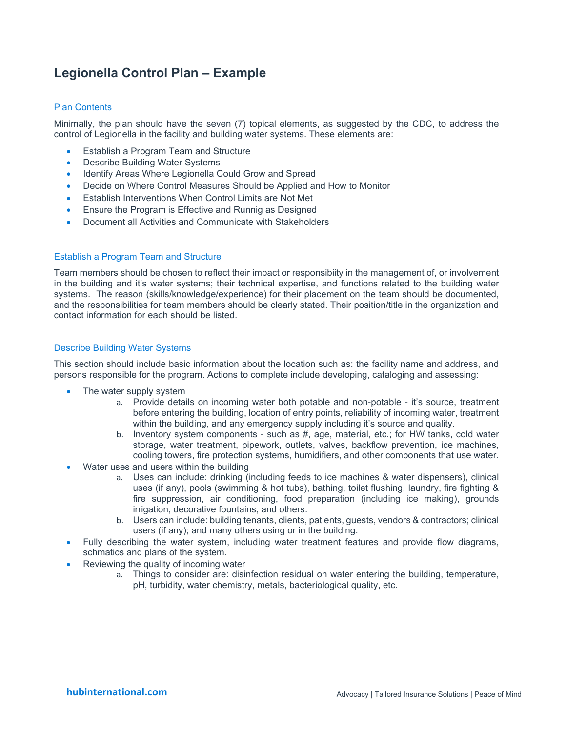## **Legionella Control Plan – Example**

#### Plan Contents

Minimally, the plan should have the seven (7) topical elements, as suggested by the CDC, to address the control of Legionella in the facility and building water systems. These elements are:

- Establish a Program Team and Structure
- **Describe Building Water Systems**
- Identify Areas Where Legionella Could Grow and Spread
- Decide on Where Control Measures Should be Applied and How to Monitor
- Establish Interventions When Control Limits are Not Met
- Ensure the Program is Effective and Runnig as Designed
- Document all Activities and Communicate with Stakeholders

#### Establish a Program Team and Structure

Team members should be chosen to reflect their impact or responsibiity in the management of, or involvement in the building and it's water systems; their technical expertise, and functions related to the building water systems. The reason (skills/knowledge/experience) for their placement on the team should be documented, and the responsibilities for team members should be clearly stated. Their position/title in the organization and contact information for each should be listed.

#### Describe Building Water Systems

This section should include basic information about the location such as: the facility name and address, and persons responsible for the program. Actions to complete include developing, cataloging and assessing:

- The water supply system
	- a. Provide details on incoming water both potable and non-potable it's source, treatment before entering the building, location of entry points, reliability of incoming water, treatment within the building, and any emergency supply including it's source and quality.
	- b. Inventory system components such as #, age, material, etc.; for HW tanks, cold water storage, water treatment, pipework, outlets, valves, backflow prevention, ice machines, cooling towers, fire protection systems, humidifiers, and other components that use water.
- Water uses and users within the building
	- a. Uses can include: drinking (including feeds to ice machines & water dispensers), clinical uses (if any), pools (swimming & hot tubs), bathing, toilet flushing, laundry, fire fighting & fire suppression, air conditioning, food preparation (including ice making), grounds irrigation, decorative fountains, and others.
	- b. Users can include: building tenants, clients, patients, guests, vendors & contractors; clinical users (if any); and many others using or in the building.
- Fully describing the water system, including water treatment features and provide flow diagrams, schmatics and plans of the system.
- Reviewing the quality of incoming water
	- a. Things to consider are: disinfection residual on water entering the building, temperature, pH, turbidity, water chemistry, metals, bacteriological quality, etc.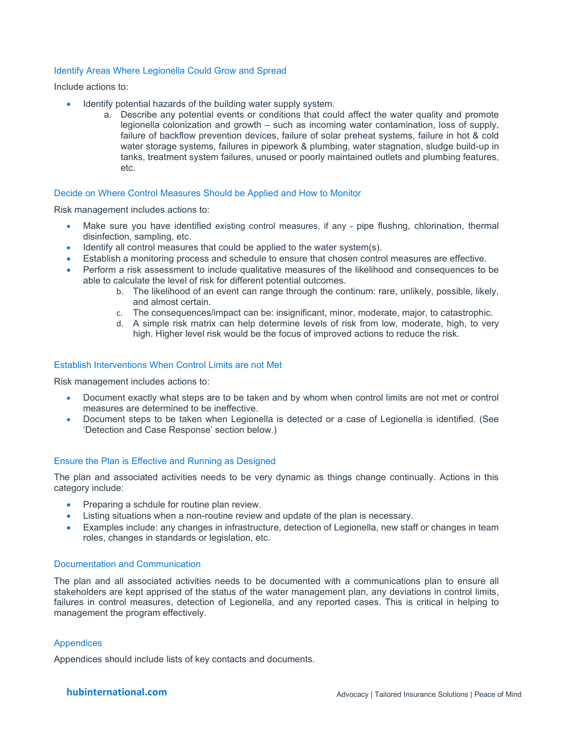#### Identify Areas Where Legionella Could Grow and Spread

Include actions to:

- Identify potential hazards of the building water supply system.
	- a. Describe any potential events or conditions that could affect the water quality and promote legionella colonization and growth – such as incoming water contamination, loss of supply, failure of backflow prevention devices, failure of solar preheat systems, failure in hot & cold water storage systems, failures in pipework & plumbing, water stagnation, sludge build-up in tanks, treatment system failures, unused or poorly maintained outlets and plumbing features, etc.

#### Decide on Where Control Measures Should be Applied and How to Monitor

Risk management includes actions to:

- Make sure you have identified existing control measures, if any pipe flushng, chlorination, thermal disinfection, sampling, etc.
- Identify all control measures that could be applied to the water system(s).
- Establish a monitoring process and schedule to ensure that chosen control measures are effective.
- Perform a risk assessment to include qualitative measures of the likelihood and consequences to be able to calculate the level of risk for different potential outcomes.
	- b. The likelihood of an event can range through the continum: rare, unlikely, possible, likely, and almost certain.
	- c. The consequences/impact can be: insignificant, minor, moderate, major, to catastrophic.
	- d. A simple risk matrix can help determine levels of risk from low, moderate, high, to very high. Higher level risk would be the focus of improved actions to reduce the risk.

#### Establish Interventions When Control Limits are not Met

Risk management includes actions to:

- Document exactly what steps are to be taken and by whom when control limits are not met or control measures are determined to be ineffective.
- Document steps to be taken when Legionella is detected or a case of Legionella is identified. (See 'Detection and Case Response' section below.)

#### Ensure the Plan is Effective and Running as Designed

The plan and associated activities needs to be very dynamic as things change continually. Actions in this category include:

- Preparing a schdule for routine plan review.
- Listing situations when a non-routine review and update of the plan is necessary.
- Examples include: any changes in infrastructure, detection of Legionella, new staff or changes in team roles, changes in standards or legislation, etc.

#### Documentation and Communication

The plan and all associated activities needs to be documented with a communications plan to ensure all stakeholders are kept apprised of the status of the water management plan, any deviations in control limits, failures in control measures, detection of Legionella, and any reported cases. This is critical in helping to management the program effectively.

#### **Appendices**

Appendices should include lists of key contacts and documents.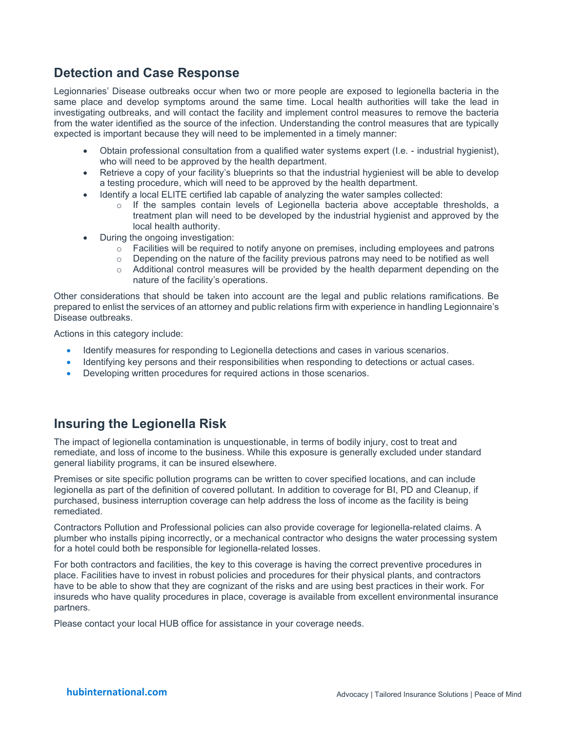## **Detection and Case Response**

Legionnaries' Disease outbreaks occur when two or more people are exposed to legionella bacteria in the same place and develop symptoms around the same time. Local health authorities will take the lead in investigating outbreaks, and will contact the facility and implement control measures to remove the bacteria from the water identified as the source of the infection. Understanding the control measures that are typically expected is important because they will need to be implemented in a timely manner:

- Obtain professional consultation from a qualified water systems expert (I.e. industrial hygienist), who will need to be approved by the health department.
- Retrieve a copy of your facility's blueprints so that the industrial hygieniest will be able to develop a testing procedure, which will need to be approved by the health department.
- Identify a local ELITE certified lab capable of analyzing the water samples collected:
	- $\circ$  If the samples contain levels of Legionella bacteria above acceptable thresholds, a treatment plan will need to be developed by the industrial hygienist and approved by the local health authority.
- During the ongoing investigation:
	- $\circ$  Facilities will be required to notify anyone on premises, including employees and patrons
	- $\circ$  Depending on the nature of the facility previous patrons may need to be notified as well
	- o Additional control measures will be provided by the health deparment depending on the nature of the facility's operations.

Other considerations that should be taken into account are the legal and public relations ramifications. Be prepared to enlist the services of an attorney and public relations firm with experience in handling Legionnaire's Disease outbreaks.

Actions in this category include:

- Identify measures for responding to Legionella detections and cases in various scenarios.
- Identifying key persons and their responsibilities when responding to detections or actual cases.
- Developing written procedures for required actions in those scenarios.

## **Insuring the Legionella Risk**

The impact of legionella contamination is unquestionable, in terms of bodily injury, cost to treat and remediate, and loss of income to the business. While this exposure is generally excluded under standard general liability programs, it can be insured elsewhere.

Premises or site specific pollution programs can be written to cover specified locations, and can include legionella as part of the definition of covered pollutant. In addition to coverage for BI, PD and Cleanup, if purchased, business interruption coverage can help address the loss of income as the facility is being remediated.

Contractors Pollution and Professional policies can also provide coverage for legionella-related claims. A plumber who installs piping incorrectly, or a mechanical contractor who designs the water processing system for a hotel could both be responsible for legionella-related losses.

For both contractors and facilities, the key to this coverage is having the correct preventive procedures in place. Facilities have to invest in robust policies and procedures for their physical plants, and contractors have to be able to show that they are cognizant of the risks and are using best practices in their work. For insureds who have quality procedures in place, coverage is available from excellent environmental insurance partners.

Please contact your local HUB office for assistance in your coverage needs.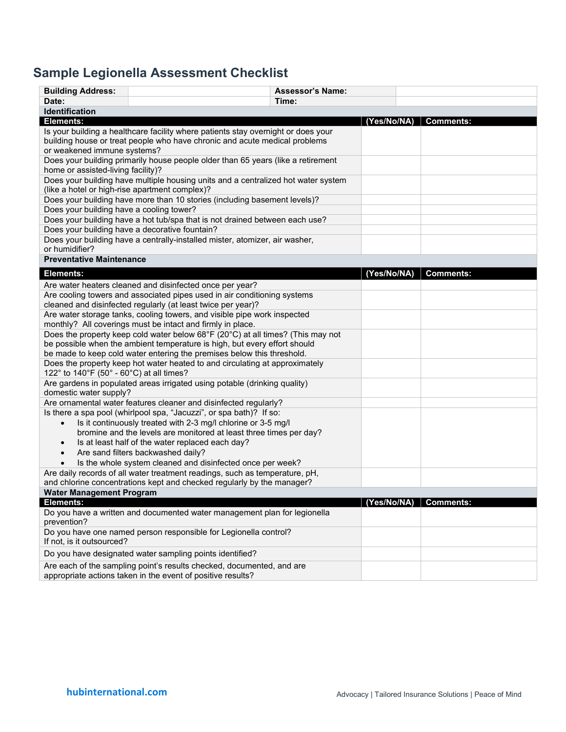# **Sample Legionella Assessment Checklist**

| <b>Building Address:</b>                                                                                                                              | <b>Assessor's Name:</b>                                                                                                                                         |       |                         |                  |  |  |  |  |
|-------------------------------------------------------------------------------------------------------------------------------------------------------|-----------------------------------------------------------------------------------------------------------------------------------------------------------------|-------|-------------------------|------------------|--|--|--|--|
| Date:                                                                                                                                                 |                                                                                                                                                                 | Time: |                         |                  |  |  |  |  |
| Identification                                                                                                                                        |                                                                                                                                                                 |       |                         |                  |  |  |  |  |
| Elements:                                                                                                                                             |                                                                                                                                                                 |       | (Yes/No/NA)   Comments: |                  |  |  |  |  |
| or weakened immune systems?                                                                                                                           | Is your building a healthcare facility where patients stay overnight or does your<br>building house or treat people who have chronic and acute medical problems |       |                         |                  |  |  |  |  |
| home or assisted-living facility)?                                                                                                                    | Does your building primarily house people older than 65 years (like a retirement                                                                                |       |                         |                  |  |  |  |  |
| (like a hotel or high-rise apartment complex)?                                                                                                        | Does your building have multiple housing units and a centralized hot water system                                                                               |       |                         |                  |  |  |  |  |
| Does your building have more than 10 stories (including basement levels)?                                                                             |                                                                                                                                                                 |       |                         |                  |  |  |  |  |
| Does your building have a cooling tower?<br>Does your building have a hot tub/spa that is not drained between each use?                               |                                                                                                                                                                 |       |                         |                  |  |  |  |  |
|                                                                                                                                                       |                                                                                                                                                                 |       |                         |                  |  |  |  |  |
| Does your building have a decorative fountain?<br>Does your building have a centrally-installed mister, atomizer, air washer,                         |                                                                                                                                                                 |       |                         |                  |  |  |  |  |
| or humidifier?                                                                                                                                        |                                                                                                                                                                 |       |                         |                  |  |  |  |  |
| <b>Preventative Maintenance</b>                                                                                                                       |                                                                                                                                                                 |       |                         |                  |  |  |  |  |
| <b>Elements:</b>                                                                                                                                      |                                                                                                                                                                 |       | (Yes/No/NA)             | <b>Comments:</b> |  |  |  |  |
|                                                                                                                                                       | Are water heaters cleaned and disinfected once per year?                                                                                                        |       |                         |                  |  |  |  |  |
|                                                                                                                                                       | Are cooling towers and associated pipes used in air conditioning systems                                                                                        |       |                         |                  |  |  |  |  |
|                                                                                                                                                       | cleaned and disinfected regularly (at least twice per year)?                                                                                                    |       |                         |                  |  |  |  |  |
|                                                                                                                                                       | Are water storage tanks, cooling towers, and visible pipe work inspected<br>monthly? All coverings must be intact and firmly in place.                          |       |                         |                  |  |  |  |  |
| Does the property keep cold water below 68°F (20°C) at all times? (This may not                                                                       |                                                                                                                                                                 |       |                         |                  |  |  |  |  |
|                                                                                                                                                       | be possible when the ambient temperature is high, but every effort should<br>be made to keep cold water entering the premises below this threshold.             |       |                         |                  |  |  |  |  |
| 122° to 140°F (50° - 60°C) at all times?                                                                                                              | Does the property keep hot water heated to and circulating at approximately                                                                                     |       |                         |                  |  |  |  |  |
| Are gardens in populated areas irrigated using potable (drinking quality)<br>domestic water supply?                                                   |                                                                                                                                                                 |       |                         |                  |  |  |  |  |
| Are ornamental water features cleaner and disinfected regularly?                                                                                      |                                                                                                                                                                 |       |                         |                  |  |  |  |  |
| Is there a spa pool (whirlpool spa, "Jacuzzi", or spa bath)? If so:                                                                                   |                                                                                                                                                                 |       |                         |                  |  |  |  |  |
| Is it continuously treated with 2-3 mg/l chlorine or 3-5 mg/l<br>$\bullet$                                                                            |                                                                                                                                                                 |       |                         |                  |  |  |  |  |
| bromine and the levels are monitored at least three times per day?                                                                                    |                                                                                                                                                                 |       |                         |                  |  |  |  |  |
| Is at least half of the water replaced each day?<br>$\bullet$                                                                                         |                                                                                                                                                                 |       |                         |                  |  |  |  |  |
| Are sand filters backwashed daily?<br>$\bullet$                                                                                                       |                                                                                                                                                                 |       |                         |                  |  |  |  |  |
| Is the whole system cleaned and disinfected once per week?<br>$\bullet$                                                                               |                                                                                                                                                                 |       |                         |                  |  |  |  |  |
| Are daily records of all water treatment readings, such as temperature, pH,<br>and chlorine concentrations kept and checked regularly by the manager? |                                                                                                                                                                 |       |                         |                  |  |  |  |  |
| <b>Water Management Program</b>                                                                                                                       |                                                                                                                                                                 |       |                         |                  |  |  |  |  |
| Elements:                                                                                                                                             |                                                                                                                                                                 |       | (Yes/No/NA)   Comments: |                  |  |  |  |  |
| prevention?                                                                                                                                           | Do you have a written and documented water management plan for legionella                                                                                       |       |                         |                  |  |  |  |  |
| If not, is it outsourced?                                                                                                                             | Do you have one named person responsible for Legionella control?                                                                                                |       |                         |                  |  |  |  |  |
|                                                                                                                                                       | Do you have designated water sampling points identified?                                                                                                        |       |                         |                  |  |  |  |  |
| Are each of the sampling point's results checked, documented, and are<br>appropriate actions taken in the event of positive results?                  |                                                                                                                                                                 |       |                         |                  |  |  |  |  |